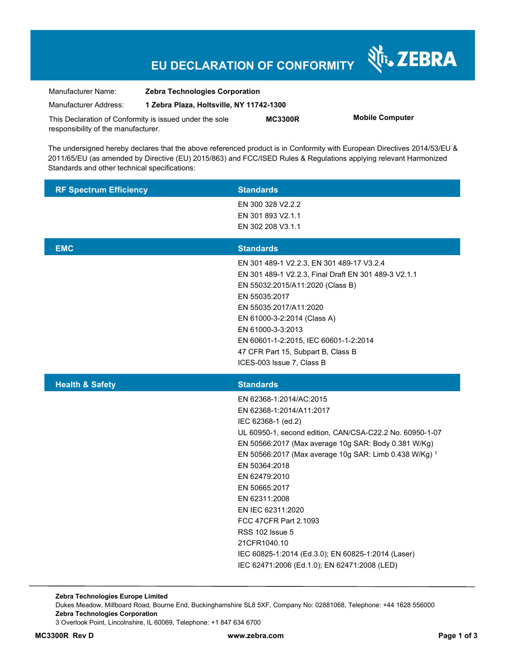# **EU DECLARATION OF CONFORMITY**

Nr. ZEBRA

| Manufacturer Name:                                      | <b>Zebra Technologies Corporation</b>    |                |                        |
|---------------------------------------------------------|------------------------------------------|----------------|------------------------|
| Manufacturer Address:                                   | 1 Zebra Plaza, Holtsville, NY 11742-1300 |                |                        |
| This Declaration of Conformity is issued under the sole |                                          | <b>MC3300R</b> | <b>Mobile Computer</b> |
| responsibility of the manufacturer.                     |                                          |                |                        |

The undersigned hereby declares that the above referenced product is in Conformity with European Directives 2014/53/EU & 2011/65/EU (as amended by Directive (EU) 2015/863) and FCC/ISED Rules & Regulations applying relevant Harmonized Standards and other technical specifications:

| <b>RF Spectrum Efficiency</b> | <b>Standards</b>                                                                                                                                                                                                                                                                                                                                                                                                                                                                                                          |
|-------------------------------|---------------------------------------------------------------------------------------------------------------------------------------------------------------------------------------------------------------------------------------------------------------------------------------------------------------------------------------------------------------------------------------------------------------------------------------------------------------------------------------------------------------------------|
|                               | EN 300 328 V2.2.2                                                                                                                                                                                                                                                                                                                                                                                                                                                                                                         |
|                               | EN 301 893 V2.1.1<br>EN 302 208 V3.1.1                                                                                                                                                                                                                                                                                                                                                                                                                                                                                    |
|                               |                                                                                                                                                                                                                                                                                                                                                                                                                                                                                                                           |
| <b>EMC</b>                    | <b>Standards</b>                                                                                                                                                                                                                                                                                                                                                                                                                                                                                                          |
|                               | EN 301 489-1 V2.2.3, EN 301 489-17 V3.2.4<br>EN 301 489-1 V2.2.3, Final Draft EN 301 489-3 V2.1.1<br>EN 55032:2015/A11:2020 (Class B)<br>EN 55035:2017<br>EN 55035:2017/A11:2020<br>EN 61000-3-2:2014 (Class A)<br>EN 61000-3-3:2013<br>EN 60601-1-2:2015, IEC 60601-1-2:2014<br>47 CFR Part 15, Subpart B, Class B<br>ICES-003 Issue 7, Class B                                                                                                                                                                          |
| <b>Health &amp; Safety</b>    | <b>Standards</b>                                                                                                                                                                                                                                                                                                                                                                                                                                                                                                          |
|                               | EN 62368-1:2014/AC:2015<br>EN 62368-1:2014/A11:2017<br>IEC 62368-1 (ed.2)<br>UL 60950-1, second edition, CAN/CSA-C22.2 No. 60950-1-07<br>EN 50566:2017 (Max average 10g SAR: Body 0.381 W/Kg)<br>EN 50566:2017 (Max average 10g SAR: Limb 0.438 W/Kg) 1<br>EN 50364:2018<br>EN 62479:2010<br>EN 50665:2017<br>EN 62311:2008<br>EN IEC 62311:2020<br>FCC 47CFR Part 2.1093<br><b>RSS 102 Issue 5</b><br>21CFR1040.10<br>IEC 60825-1:2014 (Ed.3.0); EN 60825-1:2014 (Laser)<br>IEC 62471:2006 (Ed.1.0); EN 62471:2008 (LED) |

**Zebra Technologies Europe Limited**  Dukes Meadow, Millboard Road, Bourne End, Buckinghamshire SL8 5XF, Company No: 02881068, Telephone: +44 1628 556000 **Zebra Technologies Corporation**  3 Overlook Point, Lincolnshire, IL 60069, Telephone: +1 847 634 6700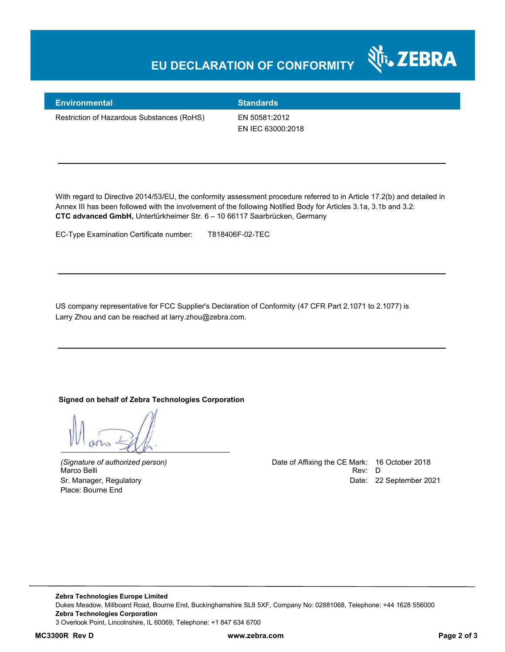## **EU DECLARATION OF CONFORMITY**



#### **Environmental Standards**

Restriction of Hazardous Substances (RoHS) EN 50581:2012

EN IEC 63000:2018

With regard to Directive 2014/53/EU, the conformity assessment procedure referred to in Article 17.2(b) and detailed in Annex III has been followed with the involvement of the following Notified Body for Articles 3.1a, 3.1b and 3.2: **CTC advanced GmbH,** Untertürkheimer Str. 6 – 10 66117 Saarbrücken, Germany

EC-Type Examination Certificate number: T818406F-02-TEC

US company representative for FCC Supplier's Declaration of Conformity (47 CFR Part 2.1071 to 2.1077) is Larry Zhou and can be reached at larry.zhou@zebra.com.

#### **Signed on behalf of Zebra Technologies Corporation**

Place: Bourne End

*(Signature of authorized person)* Date of Affixing the CE Mark: 16 October 2018 Marco Belli Rev: D Sr. Manager, Regulatory Date: 22 September 2021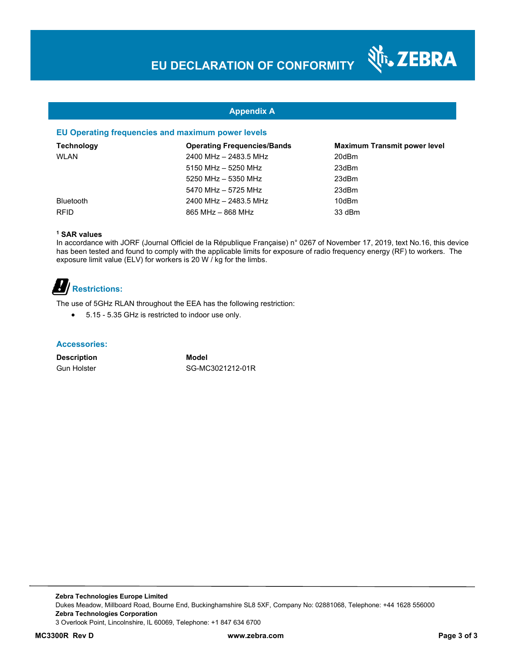र्शे<sub>ं</sub> ZEBRA

### **Appendix A**

#### **EU Operating frequencies and maximum power levels**

| <b>Technology</b> | <b>Operating Frequencies/Bands</b> | <b>Maximum Transmit power level</b> |
|-------------------|------------------------------------|-------------------------------------|
| WLAN              | 2400 MHz - 2483.5 MHz              | 20dBm                               |
|                   | 5150 MHz - 5250 MHz                | 23dBm                               |
|                   | 5250 MHz - 5350 MHz                | 23dBm                               |
|                   | 5470 MHz - 5725 MHz                | 23dBm                               |
| <b>Bluetooth</b>  | 2400 MHz - 2483.5 MHz              | 10dBm                               |
| <b>RFID</b>       | $865$ MHz $-$ 868 MHz              | 33 dBm                              |

#### **1 SAR values**

In accordance with JORF (Journal Officiel de la République Française) n° 0267 of November 17, 2019, text No.16, this device has been tested and found to comply with the applicable limits for exposure of radio frequency energy (RF) to workers. The exposure limit value (ELV) for workers is 20 W / kg for the limbs.

# *B*/**Restrictions:**

The use of 5GHz RLAN throughout the EEA has the following restriction:

5.15 - 5.35 GHz is restricted to indoor use only.

#### **Accessories:**

**Description Model**

Gun Holster SG-MC3021212-01R